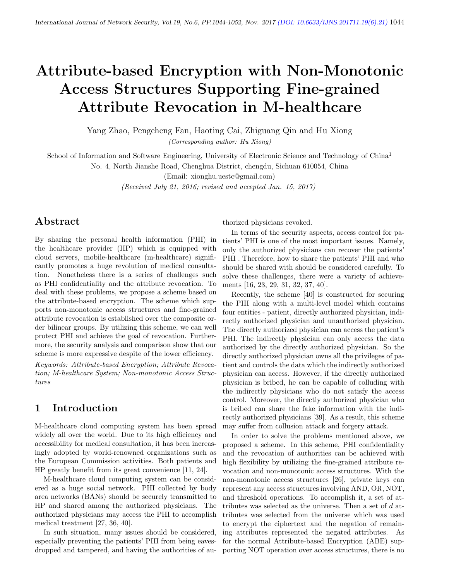# Attribute-based Encryption with Non-Monotonic Access Structures Supporting Fine-grained Attribute Revocation in M-healthcare

Yang Zhao, Pengcheng Fan, Haoting Cai, Zhiguang Qin and Hu Xiong (Corresponding author: Hu Xiong)

School of Information and Software Engineering, University of Electronic Science and Technology of China<sup>1</sup>

No. 4, North Jianshe Road, Chenghua District, chengdu, Sichuan 610054, China

(Email: xionghu.uestc@gmail.com)

(Received July 21, 2016; revised and accepted Jan. 15, 2017)

# Abstract

By sharing the personal health information (PHI) in the healthcare provider (HP) which is equipped with cloud servers, mobile-healthcare (m-healthcare) significantly promotes a huge revolution of medical consultation. Nonetheless there is a series of challenges such as PHI confidentiality and the attribute revocation. To deal with these problems, we propose a scheme based on the attribute-based encryption. The scheme which supports non-monotonic access structures and fine-grained attribute revocation is established over the composite order bilinear groups. By utilizing this scheme, we can well protect PHI and achieve the goal of revocation. Furthermore, the security analysis and comparison show that our scheme is more expressive despite of the lower efficiency.

Keywords: Attribute-based Encryption; Attribute Revocation; M-healthcare System; Non-monotonic Access Structures

# 1 Introduction

M-healthcare cloud computing system has been spread widely all over the world. Due to its high efficiency and accessibility for medical consultation, it has been increasingly adopted by world-renowned organizations such as the European Commission activities. Both patients and HP greatly benefit from its great convenience [11, 24].

M-healthcare cloud computing system can be considered as a huge social network. PHI collected by body area networks (BANs) should be securely transmitted to HP and shared among the authorized physicians. The authorized physicians may access the PHI to accomplish medical treatment [27, 36, 40].

In such situation, many issues should be considered, especially preventing the patients' PHI from being eavesdropped and tampered, and having the authorities of authorized physicians revoked.

In terms of the security aspects, access control for patients' PHI is one of the most important issues. Namely, only the authorized physicians can recover the patients' PHI . Therefore, how to share the patients' PHI and who should be shared with should be considered carefully. To solve these challenges, there were a variety of achievements [16, 23, 29, 31, 32, 37, 40].

Recently, the scheme [40] is constructed for securing the PHI along with a multi-level model which contains four entities - patient, directly authorized physician, indirectly authorized physician and unauthorized physician. The directly authorized physician can access the patient's PHI. The indirectly physician can only access the data authorized by the directly authorized physician. So the directly authorized physician owns all the privileges of patient and controls the data which the indirectly authorized physician can access. However, if the directly authorized physician is bribed, he can be capable of colluding with the indirectly physicians who do not satisfy the access control. Moreover, the directly authorized physician who is bribed can share the fake information with the indirectly authorized physicians [39]. As a result, this scheme may suffer from collusion attack and forgery attack.

In order to solve the problems mentioned above, we proposed a scheme. In this scheme, PHI confidentiality and the revocation of authorities can be achieved with high flexibility by utilizing the fine-grained attribute revocation and non-monotonic access structures. With the non-monotonic access structures [26], private keys can represent any access structures involving AND, OR, NOT, and threshold operations. To accomplish it, a set of attributes was selected as the universe. Then a set of d attributes was selected from the universe which was used to encrypt the ciphertext and the negation of remaining attributes represented the negated attributes. As for the normal Attribute-based Encryption (ABE) supporting NOT operation over access structures, there is no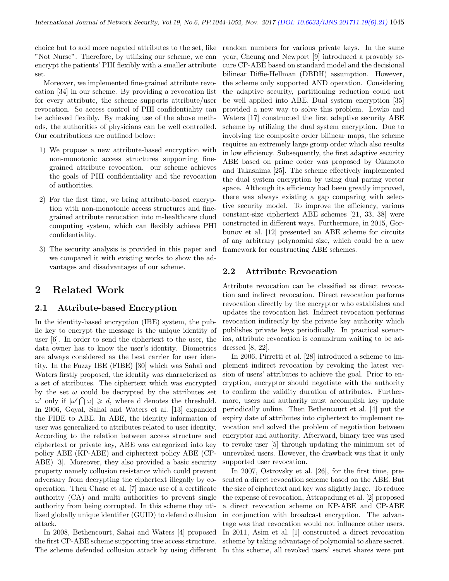choice but to add more negated attributes to the set, like "Not Nurse". Therefore, by utilizing our scheme, we can encrypt the patients' PHI flexibly with a smaller attribute set.

Moreover, we implemented fine-grained attribute revocation [34] in our scheme. By providing a revocation list for every attribute, the scheme supports attribute/user revocation. So access control of PHI confidentiality can be achieved flexibly. By making use of the above methods, the authorities of physicians can be well controlled. Our contributions are outlined below:

- 1) We propose a new attribute-based encryption with non-monotonic access structures supporting finegrained attribute revocation. our scheme achieves the goals of PHI confidentiality and the revocation of authorities.
- 2) For the first time, we bring attribute-based encryption with non-monotonic access structures and finegrained attribute revocation into m-healthcare cloud computing system, which can flexibly achieve PHI confidentiality.
- 3) The security analysis is provided in this paper and we compared it with existing works to show the advantages and disadvantages of our scheme.

## 2 Related Work

#### 2.1 Attribute-based Encryption

In the identity-based encryption (IBE) system, the public key to encrypt the message is the unique identity of user [6]. In order to send the ciphertext to the user, the data owner has to know the user's identity. Biometrics are always considered as the best carrier for user identity. In the Fuzzy IBE (FIBE) [30] which was Sahai and Waters firstly proposed, the identity was characterized as a set of attributes. The ciphertext which was encrypted by the set  $\omega$  could be decrypted by the attributes set  $\omega'$  only if  $|\omega' \cap \omega| \ge d$ , where d denotes the threshold. In 2006, Goyal, Sahai and Waters et al. [13] expanded the FIBE to ABE. In ABE, the identity information of user was generalized to attributes related to user identity. According to the relation between access structure and ciphertext or private key, ABE was categorized into key policy ABE (KP-ABE) and ciphertext policy ABE (CP-ABE) [3]. Moreover, they also provided a basic security property namely collusion resistance which could prevent adversary from decrypting the ciphertext illegally by cooperation. Then Chase et al. [7] made use of a certificate authority (CA) and multi authorities to prevent single authority from being corrupted. In this scheme they utilized globally unique identifier (GUID) to defend collusion attack.

In 2008, Bethencourt, Sahai and Waters [4] proposed the first CP-ABE scheme supporting tree access structure. The scheme defended collusion attack by using different

random numbers for various private keys. In the same year, Cheung and Newport [9] introduced a provably secure CP-ABE based on standard model and the decisional bilinear Diffie-Hellman (DBDH) assumption. However, the scheme only supported AND operation. Considering the adaptive security, partitioning reduction could not be well applied into ABE. Dual system encryption [35] provided a new way to solve this problem. Lewko and Waters [17] constructed the first adaptive security ABE scheme by utilizing the dual system encryption. Due to involving the composite order bilinear maps, the scheme requires an extremely large group order which also results in low efficiency. Subsequently, the first adaptive security ABE based on prime order was proposed by Okamoto and Takashima [25]. The scheme effectively implemented the dual system encryption by using dual paring vector space. Although its efficiency had been greatly improved, there was always existing a gap comparing with selective security model. To improve the efficiency, various constant-size ciphertext ABE schemes [21, 33, 38] were constructed in different ways. Furthermore, in 2015, Gorbunov et al. [12] presented an ABE scheme for circuits of any arbitrary polynomial size, which could be a new framework for constructing ABE schemes.

#### 2.2 Attribute Revocation

Attribute revocation can be classified as direct revocation and indirect revocation. Direct revocation performs revocation directly by the encryptor who establishes and updates the revocation list. Indirect revocation performs revocation indirectly by the private key authority which publishes private keys periodically. In practical scenarios, attribute revocation is conundrum waiting to be addressed [8, 22].

In 2006, Pirretti et al. [28] introduced a scheme to implement indirect revocation by revoking the latest version of users' attributes to achieve the goal. Prior to encryption, encryptor should negotiate with the authority to confirm the validity duration of attributes. Furthermore, users and authority must accomplish key update periodically online. Then Bethencourt et al. [4] put the expiry date of attributes into ciphertext to implement revocation and solved the problem of negotiation between encryptor and authority. Afterward, binary tree was used to revoke user [5] through updating the minimum set of unrevoked users. However, the drawback was that it only supported user revocation.

In 2007, Ostrovsky et al. [26], for the first time, presented a direct revocation scheme based on the ABE. But the size of ciphertext and key was slightly large. To reduce the expense of revocation, Attrapadung et al. [2] proposed a direct revocation scheme on KP-ABE and CP-ABE in conjunction with broadcast encryption. The advantage was that revocation would not influence other users. In 2011, Asim et al. [1] constructed a direct revocation scheme by taking advantage of polynomial to share secret. In this scheme, all revoked users' secret shares were put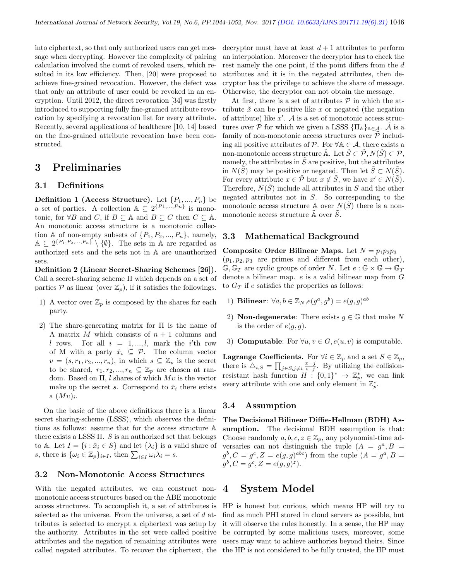into ciphertext, so that only authorized users can get message when decrypting. However the complexity of pairing calculation involved the count of revoked users, which resulted in its low efficiency. Then, [20] were proposed to achieve fine-grained revocation. However, the defect was that only an attribute of user could be revoked in an encryption. Until 2012, the direct revocation [34] was firstly introduced to supporting fully fine-grained attribute revocation by specifying a revocation list for every attribute. Recently, several applications of healthcare [10, 14] based on the fine-grained attribute revocation have been constructed.

## 3 Preliminaries

#### 3.1 Definitions

**Definition 1 (Access Structure).** Let  $\{P_1, ..., P_n\}$  be a set of parties. A collection  $\mathbb{A} \subseteq 2^{\{P1,\ldots,Pn\}}$  is monotonic, for  $\forall B$  and C, if  $B \subseteq A$  and  $B \subseteq C$  then  $C \subseteq A$ . An monotonic access structure is a monotonic collection A of non-empty subsets of  $\{P_1, P_2, ..., P_n\}$ , namely,  $\mathbb{A} \subseteq 2^{\{P_1, P_2, ..., P_n\}} \setminus \{\emptyset\}.$  The sets in A are regarded as authorized sets and the sets not in A are unauthorized sets.

Definition 2 (Linear Secret-Sharing Schemes [26]). Call a secret-sharing scheme Π which depends on a set of parties  $P$  as linear (over  $\mathbb{Z}_p$ ), if it satisfies the followings.

- 1) A vector over  $\mathbb{Z}_p$  is composed by the shares for each party.
- 2) The share-generating matrix for Π is the name of A matrix M which consists of  $n + 1$  columns and l rows. For all  $i = 1, ..., l$ , mark the i'th row of M with a party  $\check{x}_i \subseteq \mathcal{P}$ . The column vector  $v = (s, r_1, r_2, ..., r_n)$ , in which  $s \subseteq \mathbb{Z}_p$  is the secret to be shared,  $r_1, r_2, ..., r_n \subseteq \mathbb{Z}_p$  are chosen at random. Based on  $\Pi$ , l shares of which  $Mv$  is the vector make up the secret s. Correspond to  $\tilde{x}_i$  there exists  $a\ (Mv)_i.$

On the basic of the above definitions there is a linear secret sharing-scheme (LSSS), which observes the definitions as follows: assume that for the access structure A there exists a LSSS  $\Pi$ . S is an authorized set that belongs to A. Let  $I = \{i : \check{x}_i \in S\}$  and let  $\{\lambda_i\}$  is a valid share of s, there is  $\{\omega_i \in \mathbb{Z}_p\}_{i \in I}$ , then  $\sum_{i \in I} \omega_i \lambda_i = s$ .

#### 3.2 Non-Monotonic Access Structures

With the negated attributes, we can construct nonmonotonic access structures based on the ABE monotonic access structures. To accomplish it, a set of attributes is selected as the universe. From the universe, a set of d attributes is selected to encrypt a ciphertext was setup by the authority. Attributes in the set were called positive attributes and the negation of remaining attributes were called negated attributes. To recover the ciphertext, the decryptor must have at least  $d+1$  attributes to perform an interpolation. Moreover the decryptor has to check the rest namely the one point, if the point differs from the d attributes and it is in the negated attributes, then decryptor has the privilege to achieve the share of message. Otherwise, the decryptor can not obtain the message.

At first, there is a set of attributes  $P$  in which the attribute  $\check{x}$  can be positive like x or negated (the negation of attribute) like  $x'$ . A is a set of monotonic access structures over P for which we given a LSSS  $\{\Pi_{\mathbb{A}}\}_{{\mathbb{A}}\in\mathcal{A}}$ .  $\tilde{\mathcal{A}}$  is a family of non-monotonic access structures over  $\tilde{\mathcal{P}}$  including all positive attributes of  $\mathcal{P}$ . For  $\forall \mathbb{A} \in \mathcal{A}$ , there exists a non-monotonic access structure  $\tilde{A}$ . Let  $\tilde{S} \subset \tilde{\mathcal{P}}, N(\tilde{S}) \subset \mathcal{P},$ namely, the attributes in  $\tilde{S}$  are positive, but the attributes in  $N(\tilde{S})$  may be positive or negated. Then let  $\tilde{S} \subset N(\tilde{S})$ . For every attribute  $x \in \tilde{\mathcal{P}}$  but  $x \notin \tilde{S}$ , we have  $x' \in N(\tilde{S})$ . Therefore,  $N(S)$  include all attributes in S and the other negated attributes not in S. So corresponding to the monotonic access structure A over  $N(\tilde{S})$  there is a nonmonotonic access structure  $\tilde{A}$  over  $\tilde{S}$ .

#### 3.3 Mathematical Background

Composite Order Bilinear Maps. Let  $N = p_1p_2p_3$  $(p_1, p_2, p_3)$  are primes and different from each other),  $\mathbb{G}, \mathbb{G}_T$  are cyclic groups of order N. Let  $e : \mathbb{G} \times \mathbb{G} \to \mathbb{G}_T$ denote a bilinear map. e is a valid bilinear map from G to  $G_T$  if e satisfies the properties as follows:

- 1) Bilinear:  $\forall a, b \in \mathbb{Z}_N$ ,  $e(g^a, g^b) = e(g, g)^{ab}$
- 2) **Non-degenerate**: There exists  $g \in \mathbb{G}$  that make N is the order of  $e(q, q)$ .
- 3) Computable: For  $\forall u, v \in G, e(u, v)$  is computable.

**Lagrange Coefficients.** For  $\forall i \in \mathbb{Z}_p$  and a set  $S \in \mathbb{Z}_p$ , there is  $\Delta_{i,S} = \prod_{j \in S, j \neq i} \frac{x-j}{i-j}$ . By utilizing the collisionresistant hash function  $H: \{0,1\}^* \to \mathbb{Z}_p^*$ , we can link every attribute with one and only element in  $\mathbb{Z}_p^*$ .

#### 3.4 Assumption

The Decisional Bilinear Diffie-Hellman (BDH) Assumption. The decisional BDH assumption is that: Choose randomly  $a, b, c, z \in \mathbb{Z}_p$ , any polynomial-time adversaries can not distinguish the tuple  $(A = g^a, B =$  $g^b, C = g^c, Z = e(g, g)^{abc}$  from the tuple  $(A = g^a, B = g^b)$  $g^{b}, C = g^{c}, Z = e(g, g)^{z}.$ 

## 4 System Model

HP is honest but curious, which means HP will try to find as much PHI stored in cloud servers as possible, but it will observe the rules honestly. In a sense, the HP may be corrupted by some malicious users, moreover, some users may want to achieve authories beyond theirs. Since the HP is not considered to be fully trusted, the HP must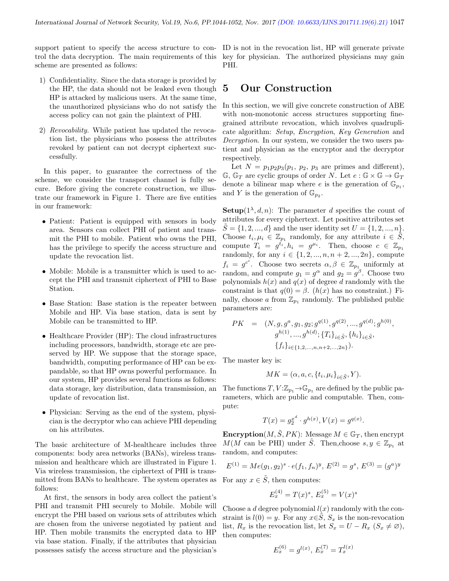support patient to specify the access structure to con-ID is not in the revocation list, HP will generate private trol the data decryption. The main requirements of this scheme are presented as follows:

- 1) Confidentiality. Since the data storage is provided by the HP, the data should not be leaked even though HP is attacked by malicious users. At the same time, the unauthorized physicians who do not satisfy the access policy can not gain the plaintext of PHI.
- 2) Revocability. While patient has updated the revocation list, the physicians who possess the attributes revoked by patient can not decrypt ciphertext successfully.

In this paper, to guarantee the correctness of the scheme, we consider the transport channel is fully secure. Before giving the concrete construction, we illustrate our framework in Figure 1. There are five entities in our framework:

- Patient: Patient is equipped with sensors in body area. Sensors can collect PHI of patient and transmit the PHI to mobile. Patient who owns the PHI, has the privilege to specify the access structure and update the revocation list.
- Mobile: Mobile is a transmitter which is used to accept the PHI and transmit ciphertext of PHI to Base Station.
- Base Station: Base station is the repeater between Mobile and HP. Via base station, data is sent by Mobile can be transmitted to HP.
- Healthcare Provider (HP): The cloud infrastructures including processors, bandwidth, storage etc are preserved by HP. We suppose that the storage space, bandwidth, computing performance of HP can be expandable, so that HP owns powerful performance. In our system, HP provides several functions as follows: data storage, key distribution, data transmission, an update of revocation list.
- Physician: Serving as the end of the system, physician is the decryptor who can achieve PHI depending on his attributes.

The basic architecture of M-healthcare includes three components: body area networks (BANs), wireless transmission and healthcare which are illustrated in Figure 1. Via wireless transmission, the ciphertext of PHI is transmitted from BANs to healthcare. The system operates as follows:

At first, the sensors in body area collect the patient's PHI and transmit PHI securely to Mobile. Mobile will encrypt the PHI based on various sets of attributes which are chosen from the universe negotiated by patient and HP. Then mobile transmits the encrypted data to HP via base station. Finally, if the attributes that physician possesses satisfy the access structure and the physician's

key for physician. The authorized physicians may gain PHI.

## 5 Our Construction

In this section, we will give concrete construction of ABE with non-monotonic access structures supporting finegrained attribute revocation, which involves quadruplicate algorithm: Setup, Encryption, Key Generation and Decryption. In our system, we consider the two users patient and physician as the encryptor and the decryptor respectively.

Let  $N = p_1p_2p_3(p_1, p_2, p_3)$  are primes and different),  $\mathbb{G}, \mathbb{G}_T$  are cyclic groups of order N. Let  $e : \mathbb{G} \times \mathbb{G} \to \mathbb{G}_T$ denote a bilinear map where e is the generation of  $\mathbb{G}_{p_1}$ , and Y is the generation of  $\mathbb{G}_{p_2}$ .

**Setup** $(1^{\lambda}, d, n)$ : The parameter d specifies the count of attributes for every ciphertext. Let positive attributes set  $S = \{1, 2, ..., d\}$  and the user identity set  $U = \{1, 2, ..., n\}.$ Choose  $t_i, \mu_i \in \mathbb{Z}_{p_1}$  randomly, for any attribute  $i \in \tilde{S}$ , compute  $T_i = g^{t_i}, h_i = g^{\mu_i}$ . Then, choose  $c \in \mathbb{Z}_{p_1}$ randomly, for any  $i \in \{1, 2, ..., n, n+2, ..., 2n\}$ , compute  $f_i = g^{c^i}$ . Choose two secrets  $\alpha, \beta \in \mathbb{Z}_{p_1}$  uniformly at random, and compute  $g_1 = g^{\alpha}$  and  $g_2 = g^{\beta}$ . Choose two polynomials  $h(x)$  and  $q(x)$  of degree d randomly with the constraint is that  $q(0) = \beta$ .  $(h(x)$  has no constraint.) Finally, choose a from  $\mathbb{Z}_{p_1}$  randomly. The published public parameters are:

$$
PK = (N, g, g^a, g_1, g_2; g^{q(1)}, g^{q(2)}, ..., g^{q(d)}; g^{h(0)}, g^{h(1)}, ..., g^{h(d)}; \{T_i\}_{i \in \tilde{S}}, \{h_i\}_{i \in \tilde{S}}, \{f_i\}_{i \in \{1, 2, ..., n, n+2, ..., 2n\}}).
$$

The master key is:

$$
MK = (\alpha, a, c, \{t_i, \mu_i\}_{i \in \tilde{S}}, Y).
$$

The functions  $T, V : \mathbb{Z}_{p_1} \to \mathbb{G}_{p_1}$  are defined by the public parameters, which are public and computable. Then, compute:

$$
T(x) = g_2^{x^d} \cdot g^{h(x)}, V(x) = g^{q(x)}.
$$

**Encryption** $(M, S, PK)$ : Message  $M \in \mathbb{G}_T$ , then encrypt  $M(M \text{ can be PHI})$  under  $\tilde{S}$ . Then, choose  $s, y \in \mathbb{Z}_{p_1}$  at random, and computes:

$$
E^{(1)} = Me(g_1, g_2)^s \cdot e(f_1, f_n)^y, \, E^{(2)} = g^s, \, E^{(3)} = (g^a)^y
$$

For any  $x \in \tilde{S}$ , then computes:

$$
E_x^{(4)} = T(x)^s, E_x^{(5)} = V(x)^s
$$

Choose a d degree polynomial  $l(x)$  randomly with the constraint is  $l(0) = y$ . For any  $x \in \tilde{S}$ ,  $S_x$  is the non-revocation list,  $R_x$  is the revocation list, let  $S_x = U - R_x \ (S_x \neq \emptyset),$ then computes:

$$
E_x^{(6)} = g^{l(x)}, E_x^{(7)} = T_x^{l(x)}
$$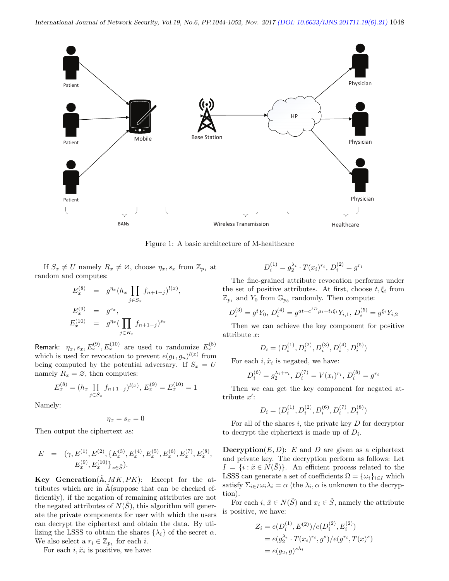

Figure 1: A basic architecture of M-healthcare

If  $S_x \neq U$  namely  $R_x \neq \emptyset$ , choose  $\eta_x, s_x$  from  $\mathbb{Z}_{p_1}$  at random and computes:

$$
E_x^{(8)} = g^{\eta_x} (h_x \prod_{j \in S_x} f_{n+1-j})^{l(x)},
$$
  
\n
$$
E_x^{(9)} = g^{s_x},
$$
  
\n
$$
E_x^{(10)} = g^{\eta_x} (\prod_{j \in R_x} f_{n+1-j})^{s_x}
$$

Remark:  $\eta_x, s_x, E_x^{(9)}, E_x^{(10)}$  are used to randomize  $E_x^{(8)}$ which is used for revocation to prevent  $e(g_1, g_n)^{l(x)}$  from being computed by the potential adversary. If  $S_x = U$ namely  $R_x = \emptyset$ , then computes:

$$
E_x^{(8)} = (h_x \prod_{j \in S_x} f_{n+1-j})^{l(x)}, E_x^{(9)} = E_x^{(10)} = 1
$$

Namely:

$$
\eta_x=s_x=0
$$

Then output the ciphertext as:

$$
\begin{array}{lll} E & = & \big(\gamma, E^{(1)}, E^{(2)}, \{E_x^{(3)}, E_x^{(4)}, E_x^{(5)}, E_x^{(6)}, E_x^{(7)}, E_x^{(8)},\\ & & E_x^{(9)}, E_x^{(10)}\}_{x\in \tilde{S}}\big). \end{array}
$$

**Key Generation**( $\tilde{A}$ ,  $MK, PK$ ): Except for the attributes which are in  $\tilde{A}$ (suppose that can be checked efficiently), if the negation of remaining attributes are not the negated attributes of  $N(S)$ , this algorithm will generate the private components for user with which the users can decrypt the ciphertext and obtain the data. By utilizing the LSSS to obtain the shares  $\{\lambda_i\}$  of the secret  $\alpha$ . We also select a  $r_i \in \mathbb{Z}_{p_1}$  for each *i*.

For each  $i, \tilde{x}_i$  is positive, we have:

$$
D_i^{(1)}=g_2^{\lambda_i}\cdot T(x_i)^{r_i},\,D_i^{(2)}=g^{r_i}
$$

The fine-grained attribute revocation performs under the set of positive attributes. At first, choose  $t, \xi_i$  from  $\mathbb{Z}_{p_1}$  and  $Y_0$  from  $\mathbb{G}_{p_3}$  randomly. Then compute:

$$
D_i^{(3)} = g^t Y_0, \, D_i^{(4)} = g^{at + c^{ID} \mu_i + t_i \xi_i} Y_{i,1}, \, D_i^{(5)} = g^{\xi_i} Y_{i,2}
$$

Then we can achieve the key component for positive attribute x:

$$
D_i = (D_i^{(1)}, D_i^{(2)}, D_i^{(3)}, D_i^{(4)}, D_i^{(5)})
$$

For each  $i, \tilde{x}_i$  is negated, we have:

$$
D_i^{(6)} = g_2^{\lambda_i + r_i}, D_i^{(7)} = V(x_i)^{r_i}, D_i^{(8)} = g^{r_i}
$$

Then we can get the key component for negated attribute  $x'$ :

$$
D_i = (D_i^{(1)}, D_i^{(2)}, D_i^{(6)}, D_i^{(7)}, D_i^{(8)})\,
$$

For all of the shares  $i$ , the private key  $D$  for decryptor to decrypt the ciphertext is made up of  $D_i$ .

**Decryption** $(E, D)$ : E and D are given as a ciphertext and private key. The decryption perform as follows: Let  $I = \{i : \tilde{x} \in N(\tilde{S})\}.$  An efficient process related to the LSSS can generate a set of coefficients  $\Omega = {\{\omega_i\}}_{i \in I}$  which satisfy  $\Sigma_{i\in I}\omega_i\lambda_i = \alpha$  (the  $\lambda_i$ ,  $\alpha$  is unknown to the decryption).

For each i,  $\tilde{x} \in N(\tilde{S})$  and  $x_i \in \tilde{S}$ , namely the attribute is positive, we have:

$$
Z_i = e(D_i^{(1)}, E^{(2)})/e(D_i^{(2)}, E_i^{(2)})
$$
  
=  $e(g_2^{\lambda_i} \cdot T(x_i)^{r_i}, g^s)/e(g^{r_i}, T(x)^s)$   
=  $e(g_2, g)^{s\lambda_i}$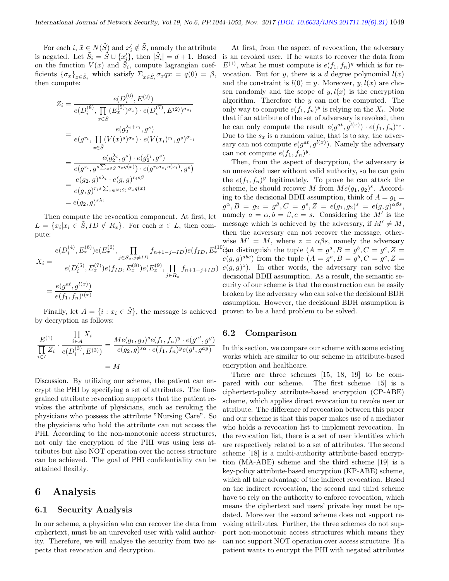For each  $i, \tilde{x} \in N(\tilde{S})$  and  $x'_i \notin \tilde{S}$ , namely the attribute is negated. Let  $\tilde{S}_i = \tilde{S} \cup \{x'_j\}$ , then  $|\tilde{S}_i| = d + 1$ . Based on the function  $V(x)$  and  $\tilde{S}_i$ , compute lagrangian coefficients  $\{\sigma_x\}_{x \in \tilde{S}_i}$  which satisfy  $\Sigma_{x \in \tilde{S}_i} \sigma_x q x = q(0) = \beta$ , then compute:

$$
Z_{i} = \frac{e(D_{i}^{(6)}, E^{(2)})}{e(D_{i}^{(8)}, \prod_{x \in \tilde{S}} (E_{x}^{(5)})^{\sigma_{x}}) \cdot e(D_{i}^{(7)}, E^{(2)})^{\sigma_{x_{i}}}}
$$
  
\n
$$
= \frac{e(g_{2}^{\lambda_{i}+r_{i}}, g^{s})}{e(g^{r_{i}}, \prod_{x \in \tilde{S}} (V(x)^{s})^{\sigma_{x}}) \cdot e(V(x_{i})^{r_{i}}, g^{s})^{\sigma_{x_{i}}}}
$$
  
\n
$$
= \frac{e(g_{2}^{\lambda_{i}}, g^{s}) \cdot e(g_{i}^{r_{i}}, g^{s})}{e(g^{r_{i}}, g^{s} \sum_{x \in \tilde{S}} \sigma_{x}q(x)) \cdot e(g^{r_{i}\sigma_{x_{i}}q(x_{i})}, g^{s})}
$$
  
\n
$$
= \frac{e(g_{2}, g)^{s\lambda_{i}} \cdot e(g, g)^{r_{i}s\beta}}{e(g, g)^{r_{i}s} \sum_{x \in N(\tilde{S})} \sigma_{x}q(x)}
$$
  
\n
$$
= e(g_{2}, g)^{s\lambda_{i}}
$$

Then compute the revocation component. At first, let  $L = \{x_i | x_i \in \tilde{S}, ID \notin R_x\}.$  For each  $x \in L$ , then compute:

$$
X_i = \frac{e(D_i^{(4)}, E_x^{(6)})e(E_x^{(6)}, \prod_{j \in S_x, j \neq ID} f_{n+1-j+ID})e(f_{ID}, E_x^{(10)})e(D_i^{(5)}, E_x^{(7)})e(f_{ID}, E_x^{(8)})e(E_x^{(9)}, \prod_{j \in R_x} f_{n+1-j+ID})}{e(g^{at}, g^{l(x)})} = \frac{e(g^{at}, g^{l(x)})}{e(f_1, f_n)^{l(x)}} \qquad \text{if}
$$

Finally, let  $A = \{i : x_i \in \tilde{S}\}\$ , the message is achieved by decryption as follows:

$$
\frac{E^{(1)}}{\prod\limits_{i\in I}Z_i} \cdot \frac{\prod\limits_{i\in A}X_i}{e(D_i^{(3)}, E^{(3)})} = \frac{Me(g_1, g_2)^se(f_1, f_n)^y \cdot e(g^{at}, g^y)}{e(g_2, g)^{s\alpha} \cdot e(f_1, f_n)^y e(g^t, g^{ay})}
$$
\n
$$
= M
$$

Discussion. By utilizing our scheme, the patient can encrypt the PHI by specifying a set of attributes. The finegrained attribute revocation supports that the patient revokes the attribute of physicians, such as revoking the physicians who possess the attribute "Nursing Care". So the physicians who hold the attribute can not access the PHI. According to the non-monotonic access structures, not only the encryption of the PHI was using less attributes but also NOT operation over the access structure can be achieved. The goal of PHI confidentiality can be attained flexibly.

## 6 Analysis

#### 6.1 Security Analysis

In our scheme, a physician who can recover the data from ciphertext, must be an unrevoked user with valid authority. Therefore, we will analyse the security from two aspects that revocation and decryption.

At first, from the aspect of revocation, the adversary is an revoked user. If he wants to recover the data from  $E^{(1)}$ , what he must compute is  $e(f_1, f_n)^y$  which is for revocation. But for y, there is a d degree polynomial  $l(x)$ and the constraint is  $l(0) = y$ . Moreover,  $y, l(x)$  are chosen randomly and the scope of  $y, l(x)$  is the encryption algorithm. Therefore the  $y$  can not be computed. The only way to compute  $e(f_1, f_n)^y$  is relying on the  $X_i$ . Note that if an attribute of the set of adversary is revoked, then he can only compute the result  $e(g^{at}, g^{l(x)}) \cdot e(f_1, f_n)^{s_x}$ . Due to the  $s_x$  is a random value, that is to say, the adversary can not compute  $e(g^{at}, g^{l(x)})$ . Namely the adversary can not compute  $e(f_1, f_n)^y$ .

 $x^{(10)}$ ch distinguish the tuple  $(A = g^a, B = g^b, C = g^c, Z = g^c)$ Then, from the aspect of decryption, the adversary is an unrevoked user without valid authority, so he can gain the  $e(f_1, f_n)^y$  legitimately. To prove he can attack the scheme, he should recover M from  $Me(g_1, g_2)^s$ . According to the decisional BDH assumption, think of  $A = g_1 =$  $g^{\alpha}, B = g_2 = g^{\beta}, C = g^s, Z = e(g_1, g_2)^s = e(g, g)^{\alpha \beta s},$ namely  $a = \alpha, b = \beta, c = s$ . Considering the M' is the message which is achieved by the adversary, if  $M' \neq M$ , then the adversary can not recover the message, otherwise  $M' = M$ , where  $z = \alpha \beta s$ , namely the adversary  $e(g,g)^{abc}$  from the tuple  $(A = g^a, B = g^b, C = g^c, Z = g^c)$  $e(g, g)^z$ ). In other words, the adversary can solve the decisional BDH assumption. As a result, the semantic security of our scheme is that the construction can be easily broken by the adversary who can solve the decisional BDH assumption. However, the decisional BDH assumption is proven to be a hard problem to be solved.

#### 6.2 Comparison

In this section, we compare our scheme with some existing works which are similar to our scheme in attribute-based encryption and healthcare.

There are three schemes [15, 18, 19] to be compared with our scheme. The first scheme [15] is a ciphertext-policy attribute-based encryption (CP-ABE) scheme, which applies direct revocation to revoke user or attribute. The difference of revocation between this paper and our scheme is that this paper makes use of a mediator who holds a revocation list to implement revocation. In the revocation list, there is a set of user identities which are respectively related to a set of attributes. The second scheme [18] is a multi-authority attribute-based encryption (MA-ABE) scheme and the third scheme [19] is a key-policy attribute-based encryption (KP-ABE) scheme, which all take advantage of the indirect revocation. Based on the indirect revocation, the second and third scheme have to rely on the authority to enforce revocation, which means the ciphertext and users' private key must be updated. Moreover the second scheme does not support revoking attributes. Further, the three schemes do not support non-monotonic access structures which means they can not support NOT operation over access structure. If a patient wants to encrypt the PHI with negated attributes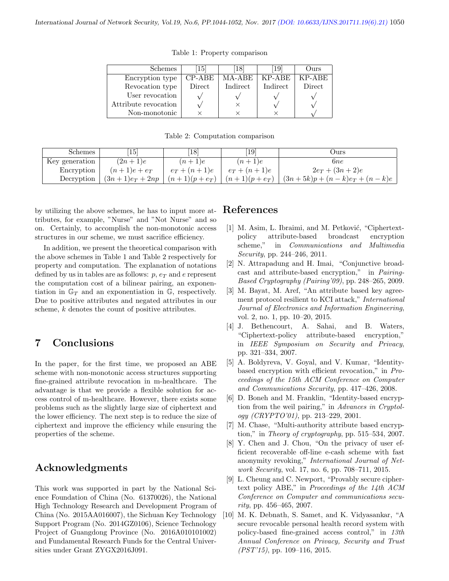| Schemes              | 15       | 18       | 19       | Jurs   |
|----------------------|----------|----------|----------|--------|
| Encryption type      | $CP-ABE$ | MA-ABE   | KP-ABE   | KP-ABE |
| Revocation type      | Direct   | Indirect | Indirect | Direct |
| User revocation      |          |          |          |        |
| Attribute revocation |          |          |          |        |
| Non-monotonic        |          |          |          |        |

Table 1: Property comparison

Table 2: Computation comparison

| <b>Schemes</b> | <b>15</b>       | $\left[18\right]$ | $\left[19\right]$ | Ours                           |
|----------------|-----------------|-------------------|-------------------|--------------------------------|
| Key generation | $(2n+1)e$       | $(n+1)e$          | $(n+1)e$          | 6ne                            |
| Encryption     | $(n+1)e+e_T$    | $e_T+(n+1)e$      | $e_T+(n+1)e$      | $2e_T + (3n + 2)e$             |
| Decryption     | $(3n+1)e_T+2np$ | $(n+1)(p+e_T)$    | $(n+1)(p+e_T)$    | $(3n+5k)p + (n-k)e_T + (n-k)e$ |

by utilizing the above schemes, he has to input more attributes, for example, "Nurse" and "Not Nurse" and so on. Certainly, to accomplish the non-monotonic access structures in our scheme, we must sacrifice efficiency.

In addition, we present the theoretical comparison with the above schemes in Table 1 and Table 2 respectively for property and computation. The explanation of notations defined by us in tables are as follows:  $p, e_T$  and e represent the computation cost of a bilinear pairing, an exponentiation in  $\mathbb{G}_T$  and an exponentiation in  $\mathbb{G}$ , respectively. Due to positive attributes and negated attributes in our scheme, k denotes the count of positive attributes.

# 7 Conclusions

In the paper, for the first time, we proposed an ABE scheme with non-monotonic access structures supporting fine-grained attribute revocation in m-healthcare. The advantage is that we provide a flexible solution for access control of m-healthcare. However, there exists some problems such as the slightly large size of ciphertext and the lower efficiency. The next step is to reduce the size of ciphertext and improve the efficiency while ensuring the properties of the scheme.

## Acknowledgments

This work was supported in part by the National Science Foundation of China (No. 61370026), the National High Technology Research and Development Program of China (No. 2015AA016007), the Sichuan Key Technology Support Program (No. 2014GZ0106), Science Technology Project of Guangdong Province (No. 2016A010101002) and Fundamental Research Funds for the Central Universities under Grant ZYGX2016J091.

## References

- [1] M. Asim, L. Ibraimi, and M. Petković, "Ciphertextpolicy attribute-based broadcast encryption scheme," in Communications and Multimedia Security, pp. 244–246, 2011.
- [2] N. Attrapadung and H. Imai, "Conjunctive broadcast and attribute-based encryption," in Pairing-Based Cryptography (Pairing'09), pp. 248–265, 2009.
- [3] M. Bayat, M. Aref, "An attribute based key agreement protocol resilient to KCI attack," International Journal of Electronics and Information Engineering, vol. 2, no. 1, pp. 10–20, 2015.
- [4] J. Bethencourt, A. Sahai, and B. Waters, "Ciphertext-policy attribute-based encryption," in IEEE Symposium on Security and Privacy, pp. 321–334, 2007.
- [5] A. Boldyreva, V. Goyal, and V. Kumar, "Identitybased encryption with efficient revocation," in Proceedings of the 15th ACM Conference on Computer and Communications Security, pp. 417–426, 2008.
- [6] D. Boneh and M. Franklin, "Identity-based encryption from the weil pairing," in Advances in Cryptology (CRYPTO'01), pp. 213–229, 2001.
- [7] M. Chase, "Multi-authority attribute based encryption," in Theory of cryptography, pp. 515–534, 2007.
- [8] Y. Chen and J. Chou, "On the privacy of user efficient recoverable off-line e-cash scheme with fast anonymity revoking," International Journal of Network Security, vol. 17, no. 6, pp. 708–711, 2015.
- [9] L. Cheung and C. Newport, "Provably secure ciphertext policy ABE," in Proceedings of the 14th ACM Conference on Computer and communications secu $rity$ , pp. 456–465, 2007.
- [10] M. K. Debnath, S. Samet, and K. Vidyasankar, "A secure revocable personal health record system with policy-based fine-grained access control," in 13th Annual Conference on Privacy, Security and Trust (PST'15), pp. 109–116, 2015.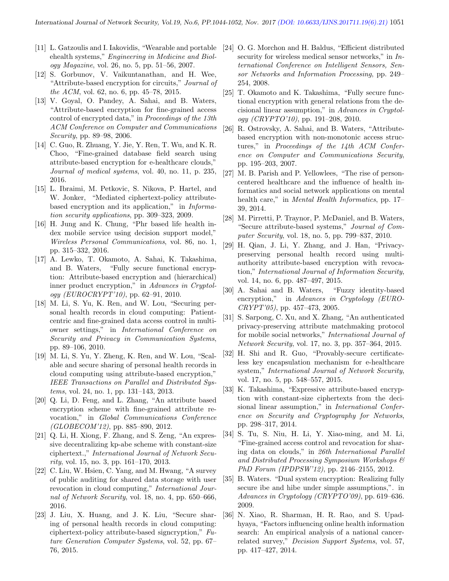- [11] L. Gatzoulis and I. Iakovidis, "Wearable and portable ehealth systems," Engineering in Medicine and Biology Magazine, vol. 26, no. 5, pp. 51–56, 2007.
- [12] S. Gorbunov, V. Vaikuntanathan, and H. Wee, "Attribute-based encryption for circuits," Journal of the ACM, vol. 62, no. 6, pp. 45–78, 2015.
- [13] V. Goyal, O. Pandey, A. Sahai, and B. Waters, "Attribute-based encryption for fine-grained access control of encrypted data," in Proceedings of the 13th ACM Conference on Computer and Communications Security, pp. 89–98, 2006.
- [14] C. Guo, R. Zhuang, Y. Jie, Y. Ren, T. Wu, and K. R. Choo, "Fine-grained database field search using attribute-based encryption for e-healthcare clouds," Journal of medical systems, vol. 40, no. 11, p. 235, 2016.
- [15] L. Ibraimi, M. Petkovic, S. Nikova, P. Hartel, and W. Jonker, "Mediated ciphertext-policy attributebased encryption and its application," in Information security applications, pp. 309–323, 2009.
- [16] H. Jung and K. Chung, "Phr based life health index mobile service using decision support model," Wireless Personal Communications, vol. 86, no. 1, pp. 315–332, 2016.
- [17] A. Lewko, T. Okamoto, A. Sahai, K. Takashima, and B. Waters, "Fully secure functional encryption: Attribute-based encryption and (hierarchical) inner product encryption," in Advances in Cryptology (EUROCRYPT'10), pp. 62–91, 2010.
- [18] M. Li, S. Yu, K. Ren, and W. Lou, "Securing personal health records in cloud computing: Patientcentric and fine-grained data access control in multiowner settings," in International Conference on Security and Privacy in Communication Systems, pp. 89–106, 2010.
- [19] M. Li, S. Yu, Y. Zheng, K. Ren, and W. Lou, "Scalable and secure sharing of personal health records in cloud computing using attribute-based encryption," IEEE Transactions on Parallel and Distributed Systems, vol. 24, no. 1, pp. 131–143, 2013.
- [20] Q. Li, D. Feng, and L. Zhang, "An attribute based encryption scheme with fine-grained attribute revocation," in Global Communications Conference  $(GLOBECOM'12)$ , pp. 885–890, 2012.
- [21] Q. Li, H. Xiong, F. Zhang, and S. Zeng, "An expressive decentralizing kp-abe scheme with constant-size ciphertext.," International Journal of Network Security, vol. 15, no. 3, pp. 161–170, 2013.
- [22] C. Liu, W. Hsien, C. Yang, and M. Hwang, "A survey of public auditing for shared data storage with user revocation in cloud computing," International Journal of Network Security, vol. 18, no. 4, pp. 650–666, 2016.
- [23] J. Liu, X. Huang, and J. K. Liu, "Secure sharing of personal health records in cloud computing: ciphertext-policy attribute-based signcryption," Future Generation Computer Systems, vol. 52, pp. 67– 76, 2015.
- [24] O. G. Morchon and H. Baldus, "Efficient distributed security for wireless medical sensor networks," in International Conference on Intelligent Sensors, Sensor Networks and Information Processing, pp. 249– 254, 2008.
- [25] T. Okamoto and K. Takashima, "Fully secure functional encryption with general relations from the decisional linear assumption," in Advances in Cryptology (CRYPTO'10), pp. 191–208, 2010.
- [26] R. Ostrovsky, A. Sahai, and B. Waters, "Attributebased encryption with non-monotonic access structures," in Proceedings of the 14th ACM Conference on Computer and Communications Security, pp. 195–203, 2007.
- [27] M. B. Parish and P. Yellowlees, "The rise of personcentered healthcare and the influence of health informatics and social network applications on mental health care," in *Mental Health Informatics*, pp. 17– 39, 2014.
- [28] M. Pirretti, P. Traynor, P. McDaniel, and B. Waters, "Secure attribute-based systems," Journal of Computer Security, vol. 18, no. 5, pp. 799–837, 2010.
- [29] H. Qian, J. Li, Y. Zhang, and J. Han, "Privacypreserving personal health record using multiauthority attribute-based encryption with revocation," International Journal of Information Security, vol. 14, no. 6, pp. 487–497, 2015.
- [30] A. Sahai and B. Waters, "Fuzzy identity-based encryption," in Advances in Cryptology (EURO-CRYPT'05), pp. 457–473, 2005.
- [31] S. Sarpong, C. Xu, and X. Zhang, "An authenticated privacy-preserving attribute matchmaking protocol for mobile social networks," International Journal of Network Security, vol. 17, no. 3, pp. 357–364, 2015.
- [32] H. Shi and R. Guo, "Provably-secure certificateless key encapsulation mechanism for e-healthcare system," International Journal of Network Security, vol. 17, no. 5, pp. 548–557, 2015.
- [33] K. Takashima, "Expressive attribute-based encryption with constant-size ciphertexts from the decisional linear assumption," in *International Confer*ence on Security and Cryptography for Networks, pp. 298–317, 2014.
- [34] S. Tu, S. Niu, H. Li, Y. Xiao-ming, and M. Li, "Fine-grained access control and revocation for sharing data on clouds," in 26th International Parallel and Distributed Processing Symposium Workshops & PhD Forum (IPDPSW'12), pp. 2146–2155, 2012.
- [35] B. Waters. "Dual system encryption: Realizing fully secure ibe and hibe under simple assumptions,". in Advances in Cryptology (CRYPTO'09), pp. 619–636. 2009.
- [36] N. Xiao, R. Sharman, H. R. Rao, and S. Upadhyaya, "Factors influencing online health information search: An empirical analysis of a national cancerrelated survey," Decision Support Systems, vol. 57, pp. 417–427, 2014.